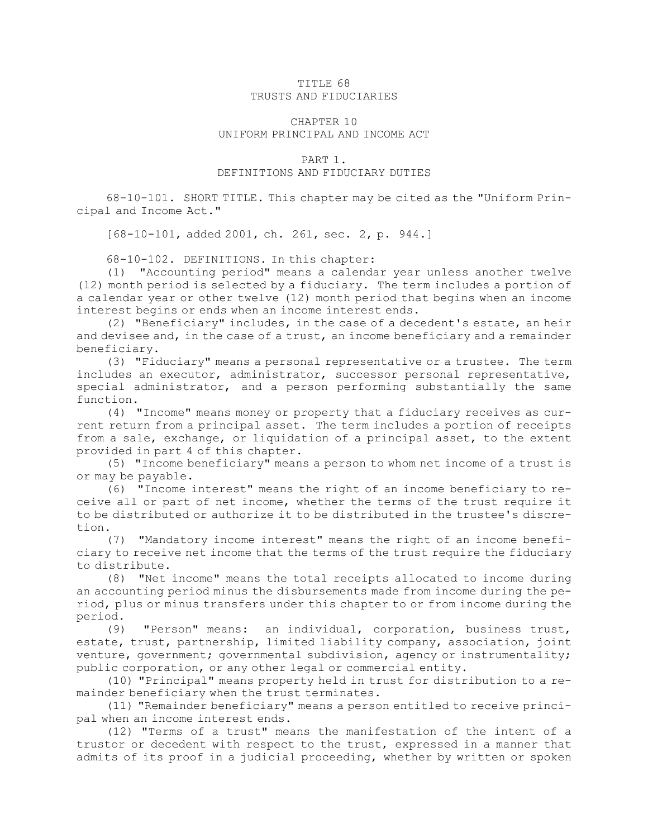### TITLE 68 TRUSTS AND FIDUCIARIES

# CHAPTER 10 UNIFORM PRINCIPAL AND INCOME ACT

# PART 1. DEFINITIONS AND FIDUCIARY DUTIES

68-10-101. SHORT TITLE. This chapter may be cited as the "Uniform Principal and Income Act."

[68-10-101, added 2001, ch. 261, sec. 2, p. 944.]

68-10-102. DEFINITIONS. In this chapter:

(1) "Accounting period" means <sup>a</sup> calendar year unless another twelve (12) month period is selected by <sup>a</sup> fiduciary. The term includes <sup>a</sup> portion of <sup>a</sup> calendar year or other twelve (12) month period that begins when an income interest begins or ends when an income interest ends.

(2) "Beneficiary" includes, in the case of <sup>a</sup> decedent's estate, an heir and devisee and, in the case of <sup>a</sup> trust, an income beneficiary and <sup>a</sup> remainder beneficiary.

(3) "Fiduciary" means <sup>a</sup> personal representative or <sup>a</sup> trustee. The term includes an executor, administrator, successor personal representative, special administrator, and <sup>a</sup> person performing substantially the same function.

(4) "Income" means money or property that <sup>a</sup> fiduciary receives as current return from <sup>a</sup> principal asset. The term includes <sup>a</sup> portion of receipts from <sup>a</sup> sale, exchange, or liquidation of <sup>a</sup> principal asset, to the extent provided in part 4 of this chapter.

(5) "Income beneficiary" means <sup>a</sup> person to whom net income of <sup>a</sup> trust is or may be payable.

(6) "Income interest" means the right of an income beneficiary to receive all or part of net income, whether the terms of the trust require it to be distributed or authorize it to be distributed in the trustee's discretion.

(7) "Mandatory income interest" means the right of an income beneficiary to receive net income that the terms of the trust require the fiduciary to distribute.

(8) "Net income" means the total receipts allocated to income during an accounting period minus the disbursements made from income during the period, plus or minus transfers under this chapter to or from income during the period.

(9) "Person" means: an individual, corporation, business trust, estate, trust, partnership, limited liability company, association, joint venture, government; governmental subdivision, agency or instrumentality; public corporation, or any other legal or commercial entity.

(10) "Principal" means property held in trust for distribution to <sup>a</sup> remainder beneficiary when the trust terminates.

(11) "Remainder beneficiary" means <sup>a</sup> person entitled to receive principal when an income interest ends.

(12) "Terms of <sup>a</sup> trust" means the manifestation of the intent of <sup>a</sup> trustor or decedent with respect to the trust, expressed in <sup>a</sup> manner that admits of its proof in <sup>a</sup> judicial proceeding, whether by written or spoken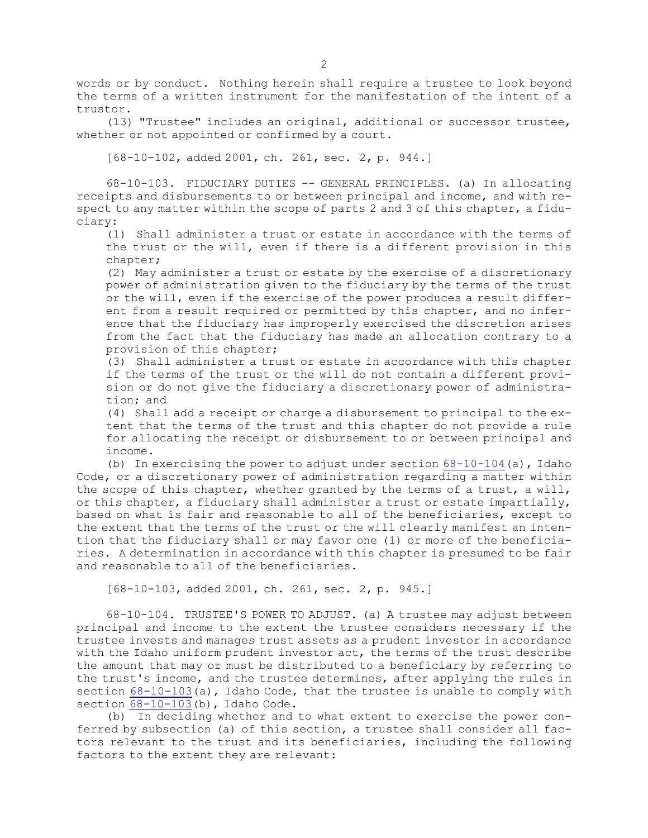words or by conduct. Nothing herein shall require <sup>a</sup> trustee to look beyond the terms of <sup>a</sup> written instrument for the manifestation of the intent of <sup>a</sup> trustor.

(13) "Trustee" includes an original, additional or successor trustee, whether or not appointed or confirmed by a court.

[68-10-102, added 2001, ch. 261, sec. 2, p. 944.]

68-10-103. FIDUCIARY DUTIES -- GENERAL PRINCIPLES. (a) In allocating receipts and disbursements to or between principal and income, and with respect to any matter within the scope of parts 2 and 3 of this chapter, <sup>a</sup> fiduciary:

(1) Shall administer <sup>a</sup> trust or estate in accordance with the terms of the trust or the will, even if there is <sup>a</sup> different provision in this chapter;

(2) May administer <sup>a</sup> trust or estate by the exercise of <sup>a</sup> discretionary power of administration given to the fiduciary by the terms of the trust or the will, even if the exercise of the power produces <sup>a</sup> result different from a result required or permitted by this chapter, and no inference that the fiduciary has improperly exercised the discretion arises from the fact that the fiduciary has made an allocation contrary to <sup>a</sup> provision of this chapter;

(3) Shall administer <sup>a</sup> trust or estate in accordance with this chapter if the terms of the trust or the will do not contain <sup>a</sup> different provision or do not give the fiduciary <sup>a</sup> discretionary power of administration; and

(4) Shall add <sup>a</sup> receipt or charge <sup>a</sup> disbursement to principal to the extent that the terms of the trust and this chapter do not provide <sup>a</sup> rule for allocating the receipt or disbursement to or between principal and income.

(b) In exercising the power to adjust under section  $68-10-104$  (a), Idaho Code, or <sup>a</sup> discretionary power of administration regarding <sup>a</sup> matter within the scope of this chapter, whether granted by the terms of <sup>a</sup> trust, <sup>a</sup> will, or this chapter, <sup>a</sup> fiduciary shall administer <sup>a</sup> trust or estate impartially, based on what is fair and reasonable to all of the beneficiaries, except to the extent that the terms of the trust or the will clearly manifest an intention that the fiduciary shall or may favor one (1) or more of the beneficiaries. <sup>A</sup> determination in accordance with this chapter is presumed to be fair and reasonable to all of the beneficiaries.

[68-10-103, added 2001, ch. 261, sec. 2, p. 945.]

68-10-104. TRUSTEE'S POWER TO ADJUST. (a) <sup>A</sup> trustee may adjust between principal and income to the extent the trustee considers necessary if the trustee invests and manages trust assets as <sup>a</sup> prudent investor in accordance with the Idaho uniform prudent investor act, the terms of the trust describe the amount that may or must be distributed to <sup>a</sup> beneficiary by referring to the trust's income, and the trustee determines, after applying the rules in section  $68-10-103$  (a), Idaho Code, that the trustee is unable to comply with section  $68-10-103$  (b), Idaho Code.

(b) In deciding whether and to what extent to exercise the power conferred by subsection (a) of this section, <sup>a</sup> trustee shall consider all factors relevant to the trust and its beneficiaries, including the following factors to the extent they are relevant: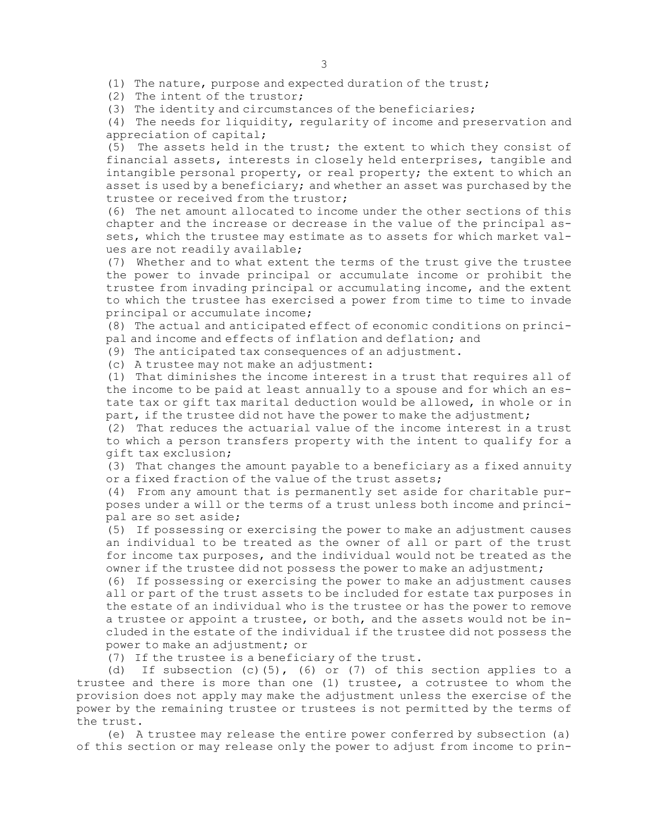(1) The nature, purpose and expected duration of the trust;

(2) The intent of the trustor;

(3) The identity and circumstances of the beneficiaries;

(4) The needs for liquidity, regularity of income and preservation and appreciation of capital;

(5) The assets held in the trust; the extent to which they consist of financial assets, interests in closely held enterprises, tangible and intangible personal property, or real property; the extent to which an asset is used by a beneficiary; and whether an asset was purchased by the trustee or received from the trustor;

(6) The net amount allocated to income under the other sections of this chapter and the increase or decrease in the value of the principal assets, which the trustee may estimate as to assets for which market values are not readily available;

(7) Whether and to what extent the terms of the trust give the trustee the power to invade principal or accumulate income or prohibit the trustee from invading principal or accumulating income, and the extent to which the trustee has exercised <sup>a</sup> power from time to time to invade principal or accumulate income;

(8) The actual and anticipated effect of economic conditions on principal and income and effects of inflation and deflation; and

(9) The anticipated tax consequences of an adjustment.

(c) <sup>A</sup> trustee may not make an adjustment:

(1) That diminishes the income interest in <sup>a</sup> trust that requires all of the income to be paid at least annually to <sup>a</sup> spouse and for which an estate tax or gift tax marital deduction would be allowed, in whole or in part, if the trustee did not have the power to make the adjustment;

(2) That reduces the actuarial value of the income interest in <sup>a</sup> trust to which <sup>a</sup> person transfers property with the intent to qualify for <sup>a</sup> gift tax exclusion;

(3) That changes the amount payable to <sup>a</sup> beneficiary as <sup>a</sup> fixed annuity or <sup>a</sup> fixed fraction of the value of the trust assets;

(4) From any amount that is permanently set aside for charitable purposes under <sup>a</sup> will or the terms of <sup>a</sup> trust unless both income and principal are so set aside;

(5) If possessing or exercising the power to make an adjustment causes an individual to be treated as the owner of all or part of the trust for income tax purposes, and the individual would not be treated as the owner if the trustee did not possess the power to make an adjustment;

(6) If possessing or exercising the power to make an adjustment causes all or part of the trust assets to be included for estate tax purposes in the estate of an individual who is the trustee or has the power to remove <sup>a</sup> trustee or appoint <sup>a</sup> trustee, or both, and the assets would not be included in the estate of the individual if the trustee did not possess the power to make an adjustment; or

(7) If the trustee is <sup>a</sup> beneficiary of the trust.

(d) If subsection (c)(5), (6) or (7) of this section applies to <sup>a</sup> trustee and there is more than one (1) trustee, <sup>a</sup> cotrustee to whom the provision does not apply may make the adjustment unless the exercise of the power by the remaining trustee or trustees is not permitted by the terms of the trust.

(e) <sup>A</sup> trustee may release the entire power conferred by subsection (a) of this section or may release only the power to adjust from income to prin-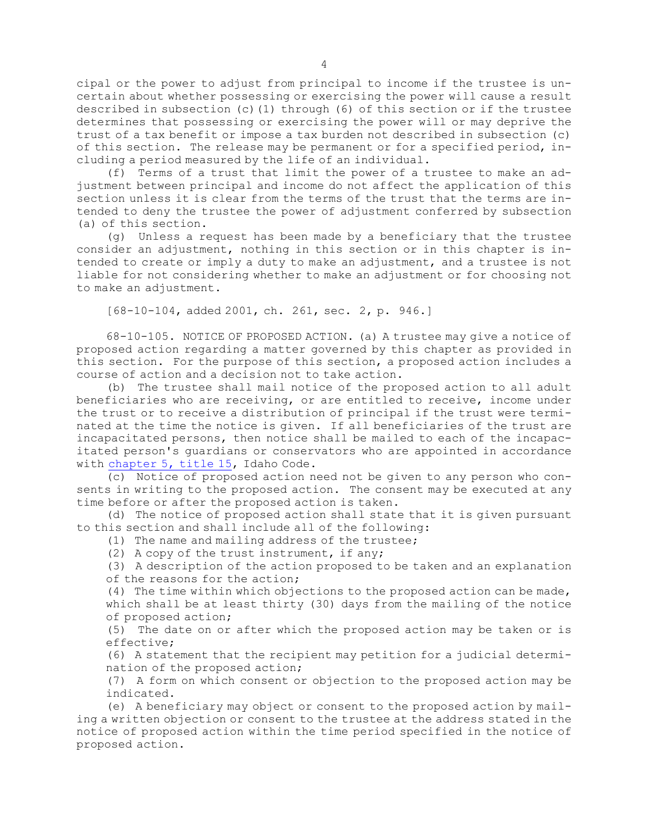cipal or the power to adjust from principal to income if the trustee is uncertain about whether possessing or exercising the power will cause <sup>a</sup> result described in subsection (c)(1) through (6) of this section or if the trustee determines that possessing or exercising the power will or may deprive the trust of <sup>a</sup> tax benefit or impose <sup>a</sup> tax burden not described in subsection (c) of this section. The release may be permanent or for <sup>a</sup> specified period, including <sup>a</sup> period measured by the life of an individual.

(f) Terms of <sup>a</sup> trust that limit the power of <sup>a</sup> trustee to make an adjustment between principal and income do not affect the application of this section unless it is clear from the terms of the trust that the terms are intended to deny the trustee the power of adjustment conferred by subsection (a) of this section.

(g) Unless <sup>a</sup> request has been made by <sup>a</sup> beneficiary that the trustee consider an adjustment, nothing in this section or in this chapter is intended to create or imply <sup>a</sup> duty to make an adjustment, and <sup>a</sup> trustee is not liable for not considering whether to make an adjustment or for choosing not to make an adjustment.

[68-10-104, added 2001, ch. 261, sec. 2, p. 946.]

68-10-105. NOTICE OF PROPOSED ACTION. (a) <sup>A</sup> trustee may give <sup>a</sup> notice of proposed action regarding <sup>a</sup> matter governed by this chapter as provided in this section. For the purpose of this section, <sup>a</sup> proposed action includes <sup>a</sup> course of action and <sup>a</sup> decision not to take action.

(b) The trustee shall mail notice of the proposed action to all adult beneficiaries who are receiving, or are entitled to receive, income under the trust or to receive <sup>a</sup> distribution of principal if the trust were terminated at the time the notice is given. If all beneficiaries of the trust are incapacitated persons, then notice shall be mailed to each of the incapacitated person's guardians or conservators who are appointed in accordance with [chapter](https://legislature.idaho.gov/statutesrules/idstat/Title15/T15CH5) 5, title 15, Idaho Code.

(c) Notice of proposed action need not be given to any person who consents in writing to the proposed action. The consent may be executed at any time before or after the proposed action is taken.

(d) The notice of proposed action shall state that it is given pursuant to this section and shall include all of the following:

(1) The name and mailing address of the trustee;

(2) <sup>A</sup> copy of the trust instrument, if any;

(3) <sup>A</sup> description of the action proposed to be taken and an explanation of the reasons for the action;

(4) The time within which objections to the proposed action can be made, which shall be at least thirty (30) days from the mailing of the notice of proposed action;

(5) The date on or after which the proposed action may be taken or is effective;

(6) <sup>A</sup> statement that the recipient may petition for <sup>a</sup> judicial determination of the proposed action;

(7) <sup>A</sup> form on which consent or objection to the proposed action may be indicated.

(e) <sup>A</sup> beneficiary may object or consent to the proposed action by mailing <sup>a</sup> written objection or consent to the trustee at the address stated in the notice of proposed action within the time period specified in the notice of proposed action.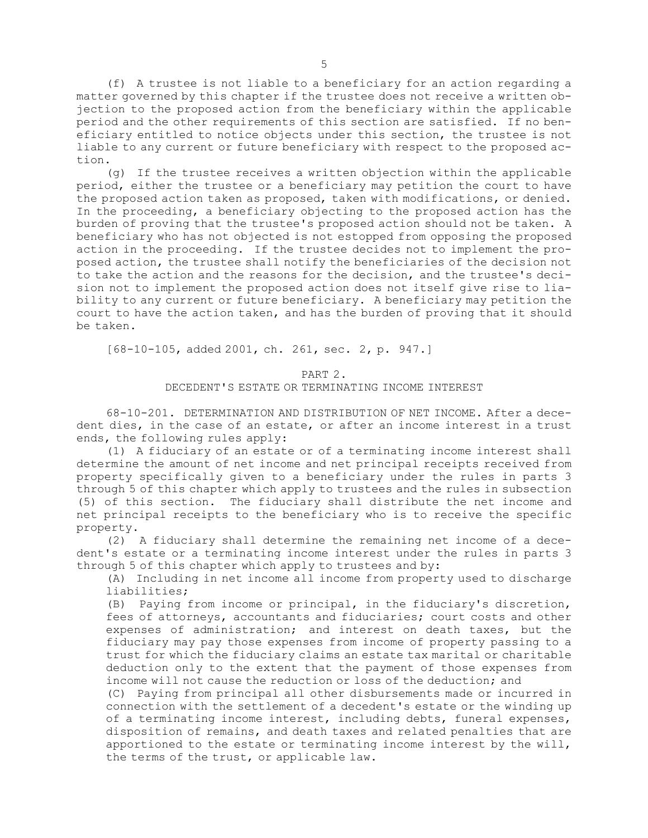(f) <sup>A</sup> trustee is not liable to <sup>a</sup> beneficiary for an action regarding <sup>a</sup> matter governed by this chapter if the trustee does not receive <sup>a</sup> written objection to the proposed action from the beneficiary within the applicable period and the other requirements of this section are satisfied. If no beneficiary entitled to notice objects under this section, the trustee is not liable to any current or future beneficiary with respect to the proposed action.

(g) If the trustee receives <sup>a</sup> written objection within the applicable period, either the trustee or <sup>a</sup> beneficiary may petition the court to have the proposed action taken as proposed, taken with modifications, or denied. In the proceeding, <sup>a</sup> beneficiary objecting to the proposed action has the burden of proving that the trustee's proposed action should not be taken. <sup>A</sup> beneficiary who has not objected is not estopped from opposing the proposed action in the proceeding. If the trustee decides not to implement the proposed action, the trustee shall notify the beneficiaries of the decision not to take the action and the reasons for the decision, and the trustee's decision not to implement the proposed action does not itself give rise to liability to any current or future beneficiary. <sup>A</sup> beneficiary may petition the court to have the action taken, and has the burden of proving that it should be taken.

[68-10-105, added 2001, ch. 261, sec. 2, p. 947.]

#### PART 2.

# DECEDENT'S ESTATE OR TERMINATING INCOME INTEREST

68-10-201. DETERMINATION AND DISTRIBUTION OF NET INCOME. After a decedent dies, in the case of an estate, or after an income interest in <sup>a</sup> trust ends, the following rules apply:

(1) <sup>A</sup> fiduciary of an estate or of <sup>a</sup> terminating income interest shall determine the amount of net income and net principal receipts received from property specifically given to <sup>a</sup> beneficiary under the rules in parts 3 through 5 of this chapter which apply to trustees and the rules in subsection (5) of this section. The fiduciary shall distribute the net income and net principal receipts to the beneficiary who is to receive the specific property.

(2) <sup>A</sup> fiduciary shall determine the remaining net income of <sup>a</sup> decedent's estate or <sup>a</sup> terminating income interest under the rules in parts 3 through 5 of this chapter which apply to trustees and by:

(A) Including in net income all income from property used to discharge liabilities;

(B) Paying from income or principal, in the fiduciary's discretion, fees of attorneys, accountants and fiduciaries; court costs and other expenses of administration; and interest on death taxes, but the fiduciary may pay those expenses from income of property passing to <sup>a</sup> trust for which the fiduciary claims an estate tax marital or charitable deduction only to the extent that the payment of those expenses from income will not cause the reduction or loss of the deduction; and

(C) Paying from principal all other disbursements made or incurred in connection with the settlement of <sup>a</sup> decedent's estate or the winding up of <sup>a</sup> terminating income interest, including debts, funeral expenses, disposition of remains, and death taxes and related penalties that are apportioned to the estate or terminating income interest by the will, the terms of the trust, or applicable law.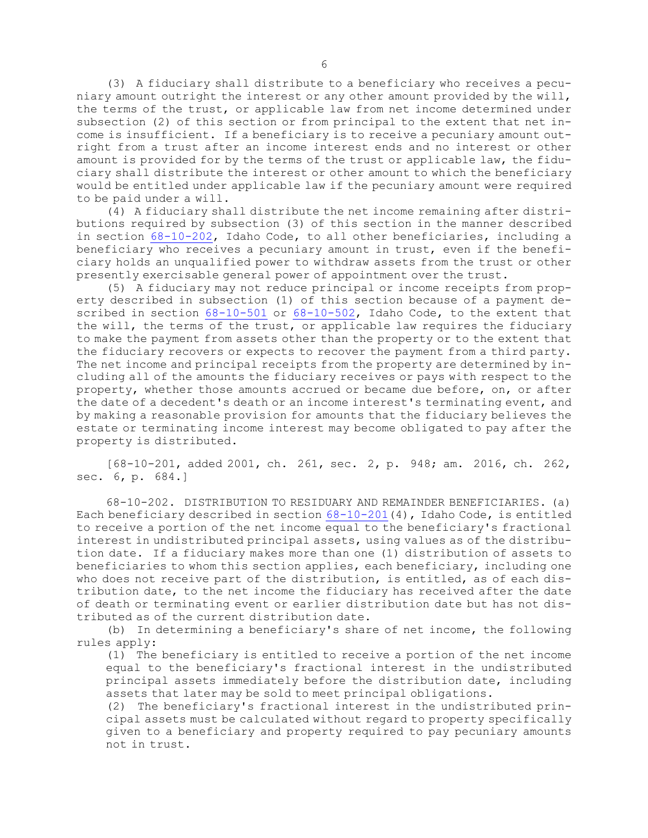(3) <sup>A</sup> fiduciary shall distribute to <sup>a</sup> beneficiary who receives <sup>a</sup> pecuniary amount outright the interest or any other amount provided by the will, the terms of the trust, or applicable law from net income determined under subsection (2) of this section or from principal to the extent that net income is insufficient. If <sup>a</sup> beneficiary is to receive <sup>a</sup> pecuniary amount outright from <sup>a</sup> trust after an income interest ends and no interest or other amount is provided for by the terms of the trust or applicable law, the fiduciary shall distribute the interest or other amount to which the beneficiary would be entitled under applicable law if the pecuniary amount were required to be paid under <sup>a</sup> will.

(4) <sup>A</sup> fiduciary shall distribute the net income remaining after distributions required by subsection (3) of this section in the manner described in section [68-10-202](https://legislature.idaho.gov/statutesrules/idstat/Title68/T68CH10/SECT68-10-202), Idaho Code, to all other beneficiaries, including <sup>a</sup> beneficiary who receives <sup>a</sup> pecuniary amount in trust, even if the beneficiary holds an unqualified power to withdraw assets from the trust or other presently exercisable general power of appointment over the trust.

(5) <sup>A</sup> fiduciary may not reduce principal or income receipts from property described in subsection (1) of this section because of <sup>a</sup> payment de-scribed in section [68-10-501](https://legislature.idaho.gov/statutesrules/idstat/Title68/T68CH10/SECT68-10-501) or [68-10-502](https://legislature.idaho.gov/statutesrules/idstat/Title68/T68CH10/SECT68-10-502), Idaho Code, to the extent that the will, the terms of the trust, or applicable law requires the fiduciary to make the payment from assets other than the property or to the extent that the fiduciary recovers or expects to recover the payment from <sup>a</sup> third party. The net income and principal receipts from the property are determined by including all of the amounts the fiduciary receives or pays with respect to the property, whether those amounts accrued or became due before, on, or after the date of <sup>a</sup> decedent's death or an income interest's terminating event, and by making <sup>a</sup> reasonable provision for amounts that the fiduciary believes the estate or terminating income interest may become obligated to pay after the property is distributed.

[68-10-201, added 2001, ch. 261, sec. 2, p. 948; am. 2016, ch. 262, sec. 6, p. 684.]

68-10-202. DISTRIBUTION TO RESIDUARY AND REMAINDER BENEFICIARIES. (a) Each beneficiary described in section [68-10-201](https://legislature.idaho.gov/statutesrules/idstat/Title68/T68CH10/SECT68-10-201)(4), Idaho Code, is entitled to receive <sup>a</sup> portion of the net income equal to the beneficiary's fractional interest in undistributed principal assets, using values as of the distribution date. If <sup>a</sup> fiduciary makes more than one (1) distribution of assets to beneficiaries to whom this section applies, each beneficiary, including one who does not receive part of the distribution, is entitled, as of each distribution date, to the net income the fiduciary has received after the date of death or terminating event or earlier distribution date but has not distributed as of the current distribution date.

(b) In determining <sup>a</sup> beneficiary's share of net income, the following rules apply:

(1) The beneficiary is entitled to receive <sup>a</sup> portion of the net income equal to the beneficiary's fractional interest in the undistributed principal assets immediately before the distribution date, including assets that later may be sold to meet principal obligations.

(2) The beneficiary's fractional interest in the undistributed principal assets must be calculated without regard to property specifically given to <sup>a</sup> beneficiary and property required to pay pecuniary amounts not in trust.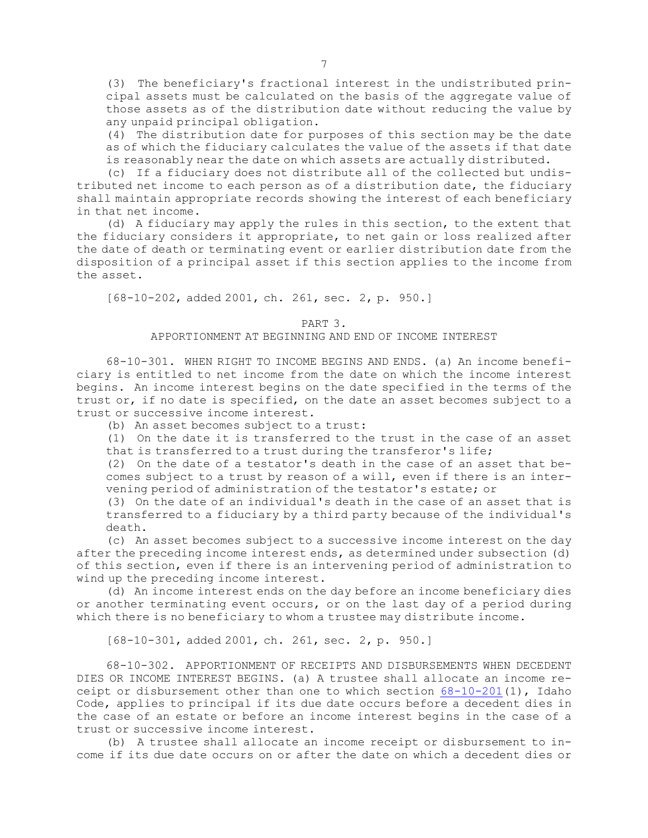(3) The beneficiary's fractional interest in the undistributed principal assets must be calculated on the basis of the aggregate value of those assets as of the distribution date without reducing the value by any unpaid principal obligation.

(4) The distribution date for purposes of this section may be the date as of which the fiduciary calculates the value of the assets if that date is reasonably near the date on which assets are actually distributed.

(c) If <sup>a</sup> fiduciary does not distribute all of the collected but undistributed net income to each person as of <sup>a</sup> distribution date, the fiduciary shall maintain appropriate records showing the interest of each beneficiary in that net income.

(d) <sup>A</sup> fiduciary may apply the rules in this section, to the extent that the fiduciary considers it appropriate, to net gain or loss realized after the date of death or terminating event or earlier distribution date from the disposition of <sup>a</sup> principal asset if this section applies to the income from the asset.

[68-10-202, added 2001, ch. 261, sec. 2, p. 950.]

### PART 3.

# APPORTIONMENT AT BEGINNING AND END OF INCOME INTEREST

68-10-301. WHEN RIGHT TO INCOME BEGINS AND ENDS. (a) An income beneficiary is entitled to net income from the date on which the income interest begins. An income interest begins on the date specified in the terms of the trust or, if no date is specified, on the date an asset becomes subject to <sup>a</sup> trust or successive income interest.

(b) An asset becomes subject to <sup>a</sup> trust:

(1) On the date it is transferred to the trust in the case of an asset that is transferred to <sup>a</sup> trust during the transferor's life;

(2) On the date of <sup>a</sup> testator's death in the case of an asset that becomes subject to <sup>a</sup> trust by reason of <sup>a</sup> will, even if there is an intervening period of administration of the testator's estate; or

(3) On the date of an individual's death in the case of an asset that is transferred to <sup>a</sup> fiduciary by <sup>a</sup> third party because of the individual's death.

(c) An asset becomes subject to <sup>a</sup> successive income interest on the day after the preceding income interest ends, as determined under subsection (d) of this section, even if there is an intervening period of administration to wind up the preceding income interest.

(d) An income interest ends on the day before an income beneficiary dies or another terminating event occurs, or on the last day of <sup>a</sup> period during which there is no beneficiary to whom <sup>a</sup> trustee may distribute income.

[68-10-301, added 2001, ch. 261, sec. 2, p. 950.]

68-10-302. APPORTIONMENT OF RECEIPTS AND DISBURSEMENTS WHEN DECEDENT DIES OR INCOME INTEREST BEGINS. (a) A trustee shall allocate an income receipt or disbursement other than one to which section  $68-10-201(1)$  $68-10-201(1)$ , Idaho Code, applies to principal if its due date occurs before <sup>a</sup> decedent dies in the case of an estate or before an income interest begins in the case of <sup>a</sup> trust or successive income interest.

(b) <sup>A</sup> trustee shall allocate an income receipt or disbursement to income if its due date occurs on or after the date on which <sup>a</sup> decedent dies or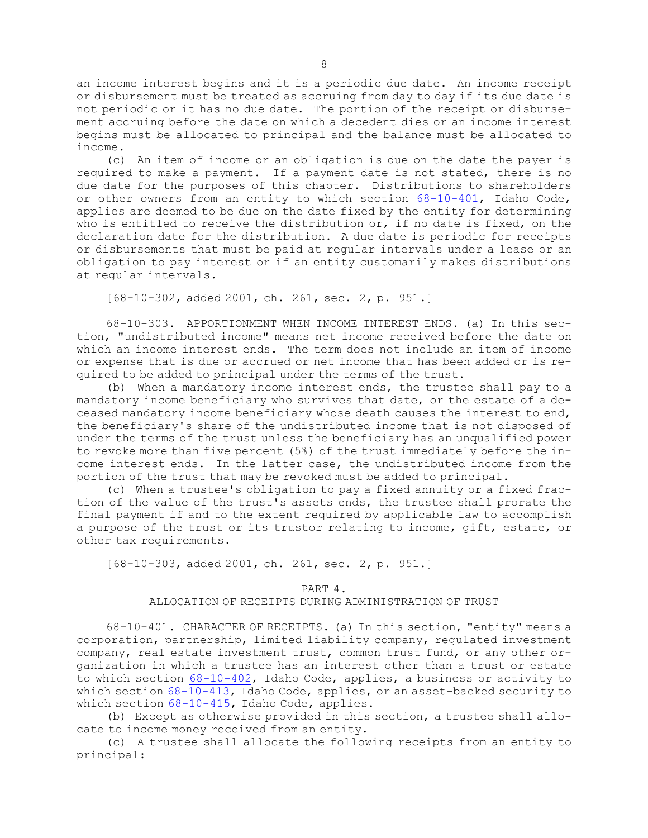an income interest begins and it is <sup>a</sup> periodic due date. An income receipt or disbursement must be treated as accruing from day to day if its due date is not periodic or it has no due date. The portion of the receipt or disbursement accruing before the date on which <sup>a</sup> decedent dies or an income interest begins must be allocated to principal and the balance must be allocated to income.

(c) An item of income or an obligation is due on the date the payer is required to make <sup>a</sup> payment. If <sup>a</sup> payment date is not stated, there is no due date for the purposes of this chapter. Distributions to shareholders or other owners from an entity to which section [68-10-401](https://legislature.idaho.gov/statutesrules/idstat/Title68/T68CH10/SECT68-10-401), Idaho Code, applies are deemed to be due on the date fixed by the entity for determining who is entitled to receive the distribution or, if no date is fixed, on the declaration date for the distribution. <sup>A</sup> due date is periodic for receipts or disbursements that must be paid at regular intervals under <sup>a</sup> lease or an obligation to pay interest or if an entity customarily makes distributions at regular intervals.

[68-10-302, added 2001, ch. 261, sec. 2, p. 951.]

68-10-303. APPORTIONMENT WHEN INCOME INTEREST ENDS. (a) In this section, "undistributed income" means net income received before the date on which an income interest ends. The term does not include an item of income or expense that is due or accrued or net income that has been added or is required to be added to principal under the terms of the trust.

(b) When <sup>a</sup> mandatory income interest ends, the trustee shall pay to <sup>a</sup> mandatory income beneficiary who survives that date, or the estate of <sup>a</sup> deceased mandatory income beneficiary whose death causes the interest to end, the beneficiary's share of the undistributed income that is not disposed of under the terms of the trust unless the beneficiary has an unqualified power to revoke more than five percent (5%) of the trust immediately before the income interest ends. In the latter case, the undistributed income from the portion of the trust that may be revoked must be added to principal.

(c) When <sup>a</sup> trustee's obligation to pay <sup>a</sup> fixed annuity or <sup>a</sup> fixed fraction of the value of the trust's assets ends, the trustee shall prorate the final payment if and to the extent required by applicable law to accomplish <sup>a</sup> purpose of the trust or its trustor relating to income, gift, estate, or other tax requirements.

[68-10-303, added 2001, ch. 261, sec. 2, p. 951.]

### PART 4.

### ALLOCATION OF RECEIPTS DURING ADMINISTRATION OF TRUST

68-10-401. CHARACTER OF RECEIPTS. (a) In this section, "entity" means <sup>a</sup> corporation, partnership, limited liability company, regulated investment company, real estate investment trust, common trust fund, or any other organization in which <sup>a</sup> trustee has an interest other than <sup>a</sup> trust or estate to which section [68-10-402](https://legislature.idaho.gov/statutesrules/idstat/Title68/T68CH10/SECT68-10-402), Idaho Code, applies, <sup>a</sup> business or activity to which section  $68-10-413$ , Idaho Code, applies, or an asset-backed security to which section [68-10-415](https://legislature.idaho.gov/statutesrules/idstat/Title68/T68CH10/SECT68-10-415), Idaho Code, applies.

(b) Except as otherwise provided in this section, <sup>a</sup> trustee shall allocate to income money received from an entity.

(c) <sup>A</sup> trustee shall allocate the following receipts from an entity to principal: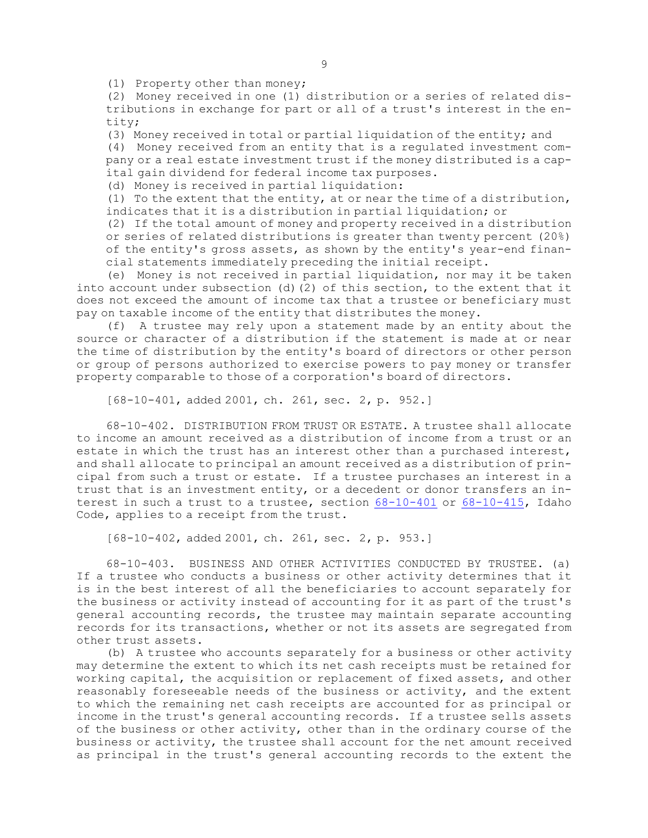(1) Property other than money;

(2) Money received in one (1) distribution or <sup>a</sup> series of related distributions in exchange for part or all of <sup>a</sup> trust's interest in the entity;

(3) Money received in total or partial liquidation of the entity; and

(4) Money received from an entity that is <sup>a</sup> regulated investment company or <sup>a</sup> real estate investment trust if the money distributed is <sup>a</sup> capital gain dividend for federal income tax purposes.

(d) Money is received in partial liquidation:

(1) To the extent that the entity, at or near the time of <sup>a</sup> distribution, indicates that it is <sup>a</sup> distribution in partial liquidation; or

(2) If the total amount of money and property received in <sup>a</sup> distribution or series of related distributions is greater than twenty percent (20%) of the entity's gross assets, as shown by the entity's year-end financial statements immediately preceding the initial receipt.

(e) Money is not received in partial liquidation, nor may it be taken into account under subsection  $(d)$  (2) of this section, to the extent that it does not exceed the amount of income tax that <sup>a</sup> trustee or beneficiary must pay on taxable income of the entity that distributes the money.

(f) <sup>A</sup> trustee may rely upon <sup>a</sup> statement made by an entity about the source or character of <sup>a</sup> distribution if the statement is made at or near the time of distribution by the entity's board of directors or other person or group of persons authorized to exercise powers to pay money or transfer property comparable to those of <sup>a</sup> corporation's board of directors.

[68-10-401, added 2001, ch. 261, sec. 2, p. 952.]

68-10-402. DISTRIBUTION FROM TRUST OR ESTATE. A trustee shall allocate to income an amount received as <sup>a</sup> distribution of income from <sup>a</sup> trust or an estate in which the trust has an interest other than <sup>a</sup> purchased interest, and shall allocate to principal an amount received as <sup>a</sup> distribution of principal from such <sup>a</sup> trust or estate. If <sup>a</sup> trustee purchases an interest in <sup>a</sup> trust that is an investment entity, or <sup>a</sup> decedent or donor transfers an interest in such <sup>a</sup> trust to <sup>a</sup> trustee, section [68-10-401](https://legislature.idaho.gov/statutesrules/idstat/Title68/T68CH10/SECT68-10-401) or [68-10-415](https://legislature.idaho.gov/statutesrules/idstat/Title68/T68CH10/SECT68-10-415), Idaho Code, applies to <sup>a</sup> receipt from the trust.

[68-10-402, added 2001, ch. 261, sec. 2, p. 953.]

68-10-403. BUSINESS AND OTHER ACTIVITIES CONDUCTED BY TRUSTEE. (a) If <sup>a</sup> trustee who conducts <sup>a</sup> business or other activity determines that it is in the best interest of all the beneficiaries to account separately for the business or activity instead of accounting for it as part of the trust's general accounting records, the trustee may maintain separate accounting records for its transactions, whether or not its assets are segregated from other trust assets.

(b) <sup>A</sup> trustee who accounts separately for <sup>a</sup> business or other activity may determine the extent to which its net cash receipts must be retained for working capital, the acquisition or replacement of fixed assets, and other reasonably foreseeable needs of the business or activity, and the extent to which the remaining net cash receipts are accounted for as principal or income in the trust's general accounting records. If <sup>a</sup> trustee sells assets of the business or other activity, other than in the ordinary course of the business or activity, the trustee shall account for the net amount received as principal in the trust's general accounting records to the extent the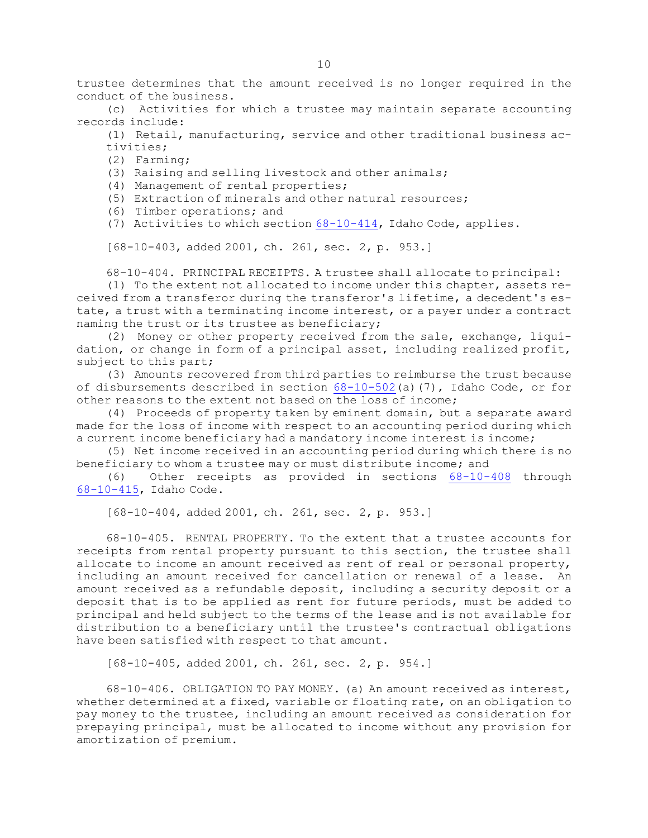trustee determines that the amount received is no longer required in the conduct of the business.

(c) Activities for which <sup>a</sup> trustee may maintain separate accounting records include:

(1) Retail, manufacturing, service and other traditional business activities;

(2) Farming;

(3) Raising and selling livestock and other animals;

- (4) Management of rental properties;
- (5) Extraction of minerals and other natural resources;
- (6) Timber operations; and
- (7) Activities to which section [68-10-414](https://legislature.idaho.gov/statutesrules/idstat/Title68/T68CH10/SECT68-10-414), Idaho Code, applies.

[68-10-403, added 2001, ch. 261, sec. 2, p. 953.]

68-10-404. PRINCIPAL RECEIPTS. <sup>A</sup> trustee shall allocate to principal:

(1) To the extent not allocated to income under this chapter, assets received from <sup>a</sup> transferor during the transferor's lifetime, <sup>a</sup> decedent's estate, <sup>a</sup> trust with <sup>a</sup> terminating income interest, or <sup>a</sup> payer under <sup>a</sup> contract naming the trust or its trustee as beneficiary;

(2) Money or other property received from the sale, exchange, liquidation, or change in form of <sup>a</sup> principal asset, including realized profit, subject to this part;

(3) Amounts recovered from third parties to reimburse the trust because of disbursements described in section [68-10-502](https://legislature.idaho.gov/statutesrules/idstat/Title68/T68CH10/SECT68-10-502)(a)(7), Idaho Code, or for other reasons to the extent not based on the loss of income;

(4) Proceeds of property taken by eminent domain, but <sup>a</sup> separate award made for the loss of income with respect to an accounting period during which <sup>a</sup> current income beneficiary had <sup>a</sup> mandatory income interest is income;

(5) Net income received in an accounting period during which there is no beneficiary to whom <sup>a</sup> trustee may or must distribute income; and

(6) Other receipts as provided in sections [68-10-408](https://legislature.idaho.gov/statutesrules/idstat/Title68/T68CH10/SECT68-10-408) through [68-10-415](https://legislature.idaho.gov/statutesrules/idstat/Title68/T68CH10/SECT68-10-415), Idaho Code.

[68-10-404, added 2001, ch. 261, sec. 2, p. 953.]

68-10-405. RENTAL PROPERTY. To the extent that a trustee accounts for receipts from rental property pursuant to this section, the trustee shall allocate to income an amount received as rent of real or personal property, including an amount received for cancellation or renewal of <sup>a</sup> lease. An amount received as <sup>a</sup> refundable deposit, including <sup>a</sup> security deposit or <sup>a</sup> deposit that is to be applied as rent for future periods, must be added to principal and held subject to the terms of the lease and is not available for distribution to <sup>a</sup> beneficiary until the trustee's contractual obligations have been satisfied with respect to that amount.

[68-10-405, added 2001, ch. 261, sec. 2, p. 954.]

68-10-406. OBLIGATION TO PAY MONEY. (a) An amount received as interest, whether determined at <sup>a</sup> fixed, variable or floating rate, on an obligation to pay money to the trustee, including an amount received as consideration for prepaying principal, must be allocated to income without any provision for amortization of premium.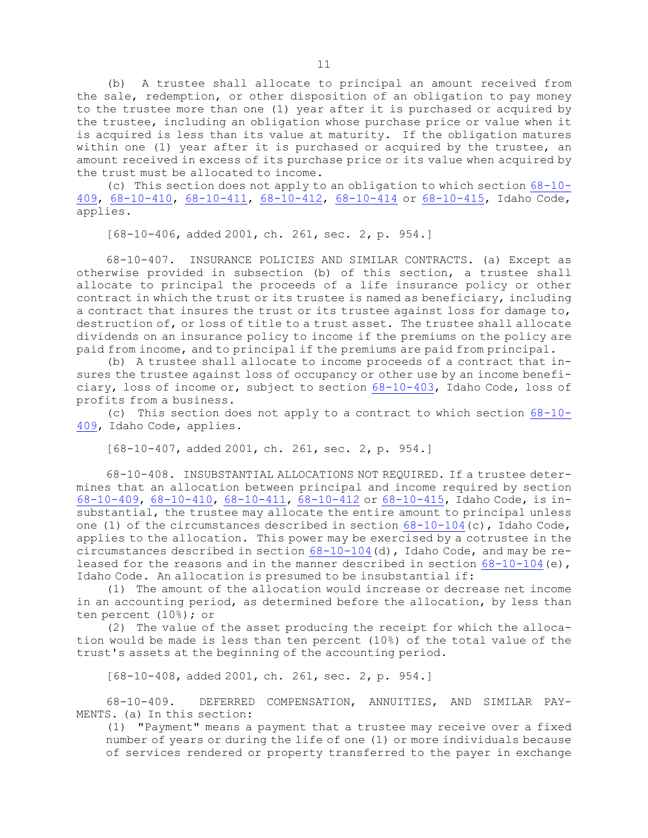(b) <sup>A</sup> trustee shall allocate to principal an amount received from the sale, redemption, or other disposition of an obligation to pay money to the trustee more than one (1) year after it is purchased or acquired by the trustee, including an obligation whose purchase price or value when it is acquired is less than its value at maturity. If the obligation matures within one (1) year after it is purchased or acquired by the trustee, an amount received in excess of its purchase price or its value when acquired by the trust must be allocated to income.

(c) This section does not apply to an obligation to which section [68-10-](https://legislature.idaho.gov/statutesrules/idstat/Title68/T68CH10/SECT68-10-409) [409](https://legislature.idaho.gov/statutesrules/idstat/Title68/T68CH10/SECT68-10-409), [68-10-410](https://legislature.idaho.gov/statutesrules/idstat/Title68/T68CH10/SECT68-10-410), [68-10-411](https://legislature.idaho.gov/statutesrules/idstat/Title68/T68CH10/SECT68-10-411), [68-10-412](https://legislature.idaho.gov/statutesrules/idstat/Title68/T68CH10/SECT68-10-412), [68-10-414](https://legislature.idaho.gov/statutesrules/idstat/Title68/T68CH10/SECT68-10-414) or [68-10-415](https://legislature.idaho.gov/statutesrules/idstat/Title68/T68CH10/SECT68-10-415), Idaho Code, applies.

[68-10-406, added 2001, ch. 261, sec. 2, p. 954.]

68-10-407. INSURANCE POLICIES AND SIMILAR CONTRACTS. (a) Except as otherwise provided in subsection (b) of this section, <sup>a</sup> trustee shall allocate to principal the proceeds of <sup>a</sup> life insurance policy or other contract in which the trust or its trustee is named as beneficiary, including <sup>a</sup> contract that insures the trust or its trustee against loss for damage to, destruction of, or loss of title to <sup>a</sup> trust asset. The trustee shall allocate dividends on an insurance policy to income if the premiums on the policy are paid from income, and to principal if the premiums are paid from principal.

(b) <sup>A</sup> trustee shall allocate to income proceeds of <sup>a</sup> contract that insures the trustee against loss of occupancy or other use by an income beneficiary, loss of income or, subject to section [68-10-403](https://legislature.idaho.gov/statutesrules/idstat/Title68/T68CH10/SECT68-10-403), Idaho Code, loss of profits from <sup>a</sup> business.

(c) This section does not apply to <sup>a</sup> contract to which section [68-10-](https://legislature.idaho.gov/statutesrules/idstat/Title68/T68CH10/SECT68-10-409) [409](https://legislature.idaho.gov/statutesrules/idstat/Title68/T68CH10/SECT68-10-409), Idaho Code, applies.

[68-10-407, added 2001, ch. 261, sec. 2, p. 954.]

68-10-408. INSUBSTANTIAL ALLOCATIONS NOT REQUIRED. If <sup>a</sup> trustee determines that an allocation between principal and income required by section [68-10-409](https://legislature.idaho.gov/statutesrules/idstat/Title68/T68CH10/SECT68-10-409), [68-10-410](https://legislature.idaho.gov/statutesrules/idstat/Title68/T68CH10/SECT68-10-410), [68-10-411](https://legislature.idaho.gov/statutesrules/idstat/Title68/T68CH10/SECT68-10-411), [68-10-412](https://legislature.idaho.gov/statutesrules/idstat/Title68/T68CH10/SECT68-10-412) or [68-10-415](https://legislature.idaho.gov/statutesrules/idstat/Title68/T68CH10/SECT68-10-415), Idaho Code, is insubstantial, the trustee may allocate the entire amount to principal unless one (1) of the circumstances described in section  $68-10-104$  (c), Idaho Code, applies to the allocation. This power may be exercised by <sup>a</sup> cotrustee in the circumstances described in section [68-10-104](https://legislature.idaho.gov/statutesrules/idstat/Title68/T68CH10/SECT68-10-104)(d), Idaho Code, and may be released for the reasons and in the manner described in section  $68-10-104$  (e), Idaho Code. An allocation is presumed to be insubstantial if:

(1) The amount of the allocation would increase or decrease net income in an accounting period, as determined before the allocation, by less than ten percent (10%); or

(2) The value of the asset producing the receipt for which the allocation would be made is less than ten percent (10%) of the total value of the trust's assets at the beginning of the accounting period.

[68-10-408, added 2001, ch. 261, sec. 2, p. 954.]

68-10-409. DEFERRED COMPENSATION, ANNUITIES, AND SIMILAR PAY-MENTS. (a) In this section:

(1) "Payment" means <sup>a</sup> payment that <sup>a</sup> trustee may receive over <sup>a</sup> fixed number of years or during the life of one (1) or more individuals because of services rendered or property transferred to the payer in exchange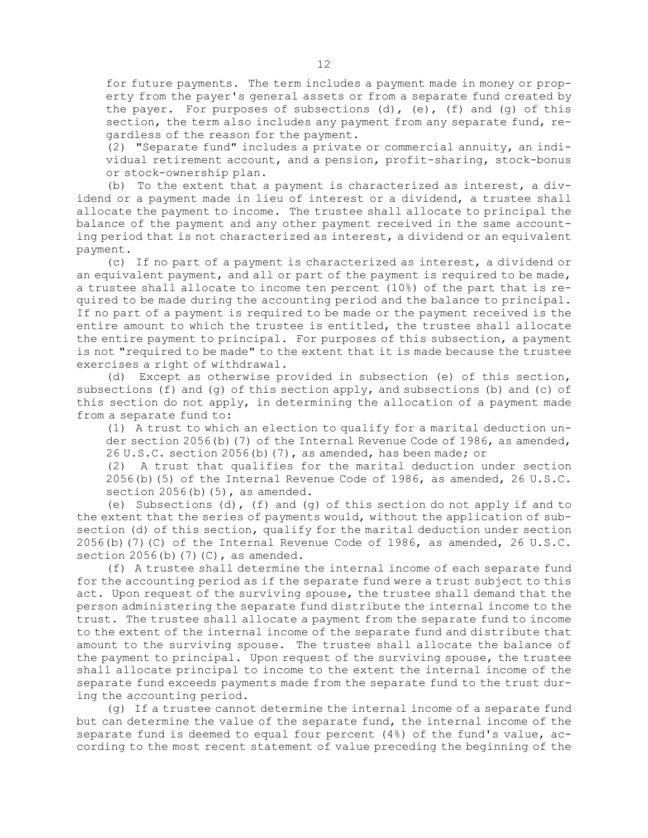for future payments. The term includes <sup>a</sup> payment made in money or property from the payer's general assets or from <sup>a</sup> separate fund created by the payer. For purposes of subsections (d), (e), (f) and (g) of this section, the term also includes any payment from any separate fund, regardless of the reason for the payment.

(2) "Separate fund" includes <sup>a</sup> private or commercial annuity, an individual retirement account, and <sup>a</sup> pension, profit-sharing, stock-bonus or stock-ownership plan.

(b) To the extent that <sup>a</sup> payment is characterized as interest, <sup>a</sup> dividend or <sup>a</sup> payment made in lieu of interest or <sup>a</sup> dividend, <sup>a</sup> trustee shall allocate the payment to income. The trustee shall allocate to principal the balance of the payment and any other payment received in the same accounting period that is not characterized as interest, <sup>a</sup> dividend or an equivalent payment.

(c) If no part of <sup>a</sup> payment is characterized as interest, <sup>a</sup> dividend or an equivalent payment, and all or part of the payment is required to be made, <sup>a</sup> trustee shall allocate to income ten percent (10%) of the part that is required to be made during the accounting period and the balance to principal. If no part of <sup>a</sup> payment is required to be made or the payment received is the entire amount to which the trustee is entitled, the trustee shall allocate the entire payment to principal. For purposes of this subsection, <sup>a</sup> payment is not "required to be made" to the extent that it is made because the trustee exercises <sup>a</sup> right of withdrawal.

(d) Except as otherwise provided in subsection (e) of this section, subsections (f) and (g) of this section apply, and subsections (b) and (c) of this section do not apply, in determining the allocation of <sup>a</sup> payment made from <sup>a</sup> separate fund to:

(1) <sup>A</sup> trust to which an election to qualify for <sup>a</sup> marital deduction under section 2056(b)(7) of the Internal Revenue Code of 1986, as amended, 26 U.S.C. section 2056(b)(7), as amended, has been made; or

(2) <sup>A</sup> trust that qualifies for the marital deduction under section 2056(b)(5) of the Internal Revenue Code of 1986, as amended, 26 U.S.C. section  $2056(b)(5)$ , as amended.

(e) Subsections (d), (f) and (g) of this section do not apply if and to the extent that the series of payments would, without the application of subsection (d) of this section, qualify for the marital deduction under section 2056(b)(7)(C) of the Internal Revenue Code of 1986, as amended, 26 U.S.C. section  $2056(b)$  (7) (C), as amended.

(f) <sup>A</sup> trustee shall determine the internal income of each separate fund for the accounting period as if the separate fund were <sup>a</sup> trust subject to this act. Upon request of the surviving spouse, the trustee shall demand that the person administering the separate fund distribute the internal income to the trust. The trustee shall allocate <sup>a</sup> payment from the separate fund to income to the extent of the internal income of the separate fund and distribute that amount to the surviving spouse. The trustee shall allocate the balance of the payment to principal. Upon request of the surviving spouse, the trustee shall allocate principal to income to the extent the internal income of the separate fund exceeds payments made from the separate fund to the trust during the accounting period.

(g) If <sup>a</sup> trustee cannot determine the internal income of <sup>a</sup> separate fund but can determine the value of the separate fund, the internal income of the separate fund is deemed to equal four percent (4%) of the fund's value, according to the most recent statement of value preceding the beginning of the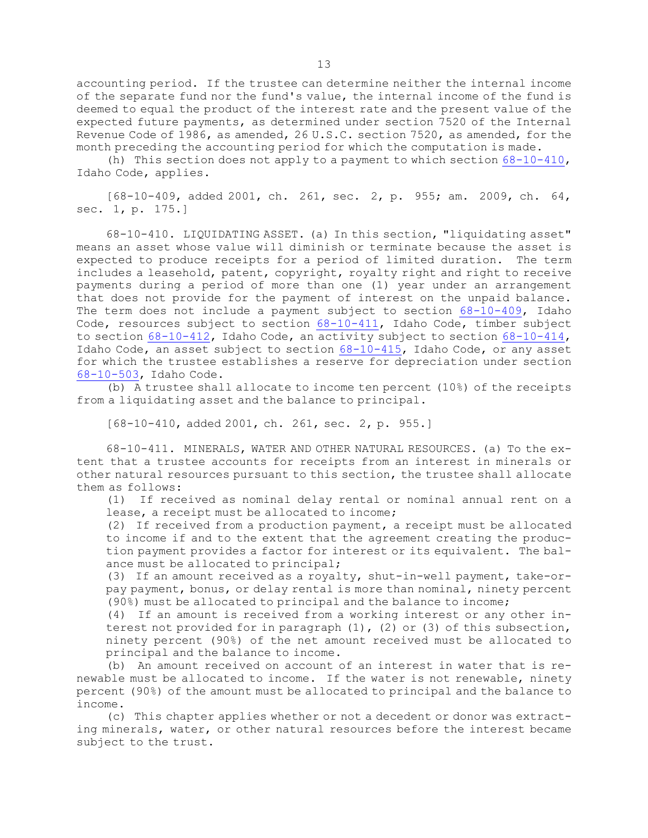accounting period. If the trustee can determine neither the internal income of the separate fund nor the fund's value, the internal income of the fund is deemed to equal the product of the interest rate and the present value of the expected future payments, as determined under section 7520 of the Internal Revenue Code of 1986, as amended, 26 U.S.C. section 7520, as amended, for the month preceding the accounting period for which the computation is made.

(h) This section does not apply to <sup>a</sup> payment to which section [68-10-410](https://legislature.idaho.gov/statutesrules/idstat/Title68/T68CH10/SECT68-10-410), Idaho Code, applies.

[68-10-409, added 2001, ch. 261, sec. 2, p. 955; am. 2009, ch. 64, sec. 1, p. 175.]

68-10-410. LIQUIDATING ASSET. (a) In this section, "liquidating asset" means an asset whose value will diminish or terminate because the asset is expected to produce receipts for <sup>a</sup> period of limited duration. The term includes <sup>a</sup> leasehold, patent, copyright, royalty right and right to receive payments during <sup>a</sup> period of more than one (1) year under an arrangement that does not provide for the payment of interest on the unpaid balance. The term does not include <sup>a</sup> payment subject to section [68-10-409](https://legislature.idaho.gov/statutesrules/idstat/Title68/T68CH10/SECT68-10-409), Idaho Code, resources subject to section [68-10-411](https://legislature.idaho.gov/statutesrules/idstat/Title68/T68CH10/SECT68-10-411), Idaho Code, timber subject to section [68-10-412](https://legislature.idaho.gov/statutesrules/idstat/Title68/T68CH10/SECT68-10-412), Idaho Code, an activity subject to section [68-10-414](https://legislature.idaho.gov/statutesrules/idstat/Title68/T68CH10/SECT68-10-414), Idaho Code, an asset subject to section [68-10-415](https://legislature.idaho.gov/statutesrules/idstat/Title68/T68CH10/SECT68-10-415), Idaho Code, or any asset for which the trustee establishes <sup>a</sup> reserve for depreciation under section [68-10-503](https://legislature.idaho.gov/statutesrules/idstat/Title68/T68CH10/SECT68-10-503), Idaho Code.

(b) <sup>A</sup> trustee shall allocate to income ten percent (10%) of the receipts from <sup>a</sup> liquidating asset and the balance to principal.

[68-10-410, added 2001, ch. 261, sec. 2, p. 955.]

68-10-411. MINERALS, WATER AND OTHER NATURAL RESOURCES. (a) To the extent that <sup>a</sup> trustee accounts for receipts from an interest in minerals or other natural resources pursuant to this section, the trustee shall allocate them as follows:

(1) If received as nominal delay rental or nominal annual rent on <sup>a</sup> lease, <sup>a</sup> receipt must be allocated to income;

(2) If received from <sup>a</sup> production payment, <sup>a</sup> receipt must be allocated to income if and to the extent that the agreement creating the production payment provides <sup>a</sup> factor for interest or its equivalent. The balance must be allocated to principal;

(3) If an amount received as <sup>a</sup> royalty, shut-in-well payment, take-orpay payment, bonus, or delay rental is more than nominal, ninety percent (90%) must be allocated to principal and the balance to income;

(4) If an amount is received from <sup>a</sup> working interest or any other interest not provided for in paragraph (1), (2) or (3) of this subsection, ninety percent (90%) of the net amount received must be allocated to principal and the balance to income.

(b) An amount received on account of an interest in water that is renewable must be allocated to income. If the water is not renewable, ninety percent (90%) of the amount must be allocated to principal and the balance to income.

(c) This chapter applies whether or not <sup>a</sup> decedent or donor was extracting minerals, water, or other natural resources before the interest became subject to the trust.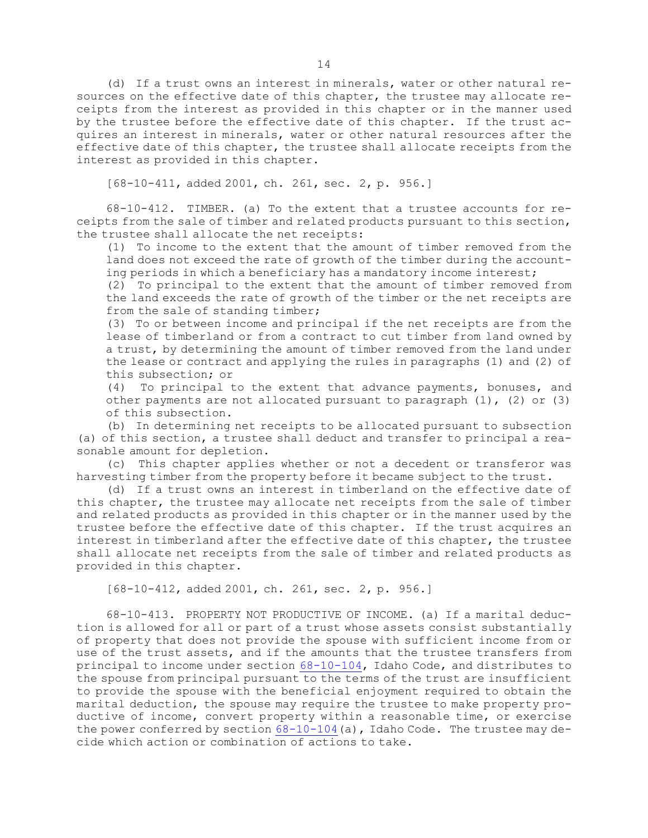(d) If <sup>a</sup> trust owns an interest in minerals, water or other natural resources on the effective date of this chapter, the trustee may allocate receipts from the interest as provided in this chapter or in the manner used by the trustee before the effective date of this chapter. If the trust acquires an interest in minerals, water or other natural resources after the effective date of this chapter, the trustee shall allocate receipts from the interest as provided in this chapter.

[68-10-411, added 2001, ch. 261, sec. 2, p. 956.]

68-10-412. TIMBER. (a) To the extent that <sup>a</sup> trustee accounts for receipts from the sale of timber and related products pursuant to this section, the trustee shall allocate the net receipts:

(1) To income to the extent that the amount of timber removed from the land does not exceed the rate of growth of the timber during the accounting periods in which <sup>a</sup> beneficiary has <sup>a</sup> mandatory income interest;

(2) To principal to the extent that the amount of timber removed from the land exceeds the rate of growth of the timber or the net receipts are from the sale of standing timber;

(3) To or between income and principal if the net receipts are from the lease of timberland or from <sup>a</sup> contract to cut timber from land owned by <sup>a</sup> trust, by determining the amount of timber removed from the land under the lease or contract and applying the rules in paragraphs (1) and (2) of this subsection; or

(4) To principal to the extent that advance payments, bonuses, and other payments are not allocated pursuant to paragraph (1), (2) or (3) of this subsection.

(b) In determining net receipts to be allocated pursuant to subsection (a) of this section, <sup>a</sup> trustee shall deduct and transfer to principal <sup>a</sup> reasonable amount for depletion.

(c) This chapter applies whether or not <sup>a</sup> decedent or transferor was harvesting timber from the property before it became subject to the trust.

(d) If <sup>a</sup> trust owns an interest in timberland on the effective date of this chapter, the trustee may allocate net receipts from the sale of timber and related products as provided in this chapter or in the manner used by the trustee before the effective date of this chapter. If the trust acquires an interest in timberland after the effective date of this chapter, the trustee shall allocate net receipts from the sale of timber and related products as provided in this chapter.

[68-10-412, added 2001, ch. 261, sec. 2, p. 956.]

68-10-413. PROPERTY NOT PRODUCTIVE OF INCOME. (a) If <sup>a</sup> marital deduction is allowed for all or part of <sup>a</sup> trust whose assets consist substantially of property that does not provide the spouse with sufficient income from or use of the trust assets, and if the amounts that the trustee transfers from principal to income under section [68-10-104](https://legislature.idaho.gov/statutesrules/idstat/Title68/T68CH10/SECT68-10-104), Idaho Code, and distributes to the spouse from principal pursuant to the terms of the trust are insufficient to provide the spouse with the beneficial enjoyment required to obtain the marital deduction, the spouse may require the trustee to make property productive of income, convert property within <sup>a</sup> reasonable time, or exercise the power conferred by section  $68-10-104$  (a), Idaho Code. The trustee may decide which action or combination of actions to take.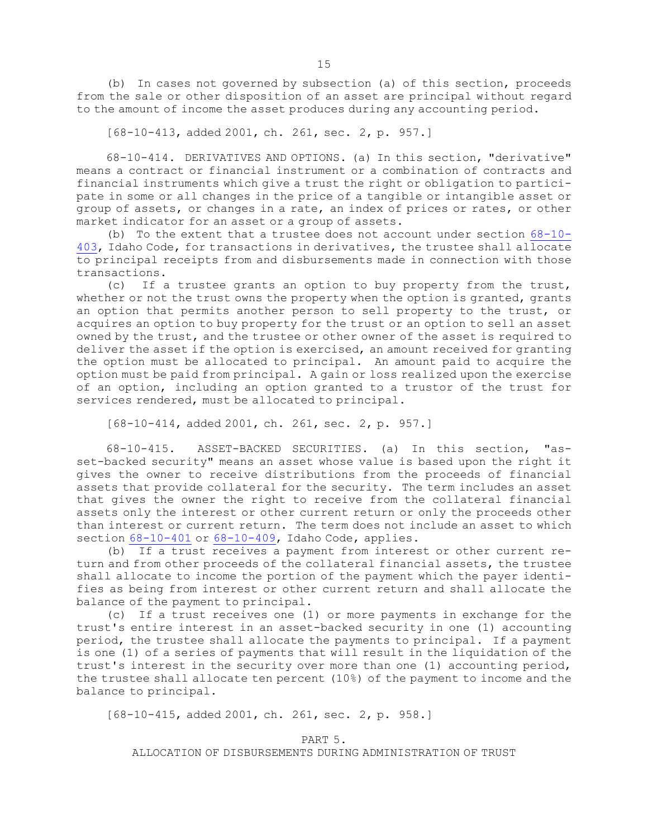(b) In cases not governed by subsection (a) of this section, proceeds from the sale or other disposition of an asset are principal without regard to the amount of income the asset produces during any accounting period.

[68-10-413, added 2001, ch. 261, sec. 2, p. 957.]

68-10-414. DERIVATIVES AND OPTIONS. (a) In this section, "derivative" means <sup>a</sup> contract or financial instrument or <sup>a</sup> combination of contracts and financial instruments which give <sup>a</sup> trust the right or obligation to participate in some or all changes in the price of <sup>a</sup> tangible or intangible asset or group of assets, or changes in <sup>a</sup> rate, an index of prices or rates, or other market indicator for an asset or <sup>a</sup> group of assets.

(b) To the extent that <sup>a</sup> trustee does not account under section [68-10-](https://legislature.idaho.gov/statutesrules/idstat/Title68/T68CH10/SECT68-10-403) [403](https://legislature.idaho.gov/statutesrules/idstat/Title68/T68CH10/SECT68-10-403), Idaho Code, for transactions in derivatives, the trustee shall allocate to principal receipts from and disbursements made in connection with those transactions.

(c) If <sup>a</sup> trustee grants an option to buy property from the trust, whether or not the trust owns the property when the option is granted, grants an option that permits another person to sell property to the trust, or acquires an option to buy property for the trust or an option to sell an asset owned by the trust, and the trustee or other owner of the asset is required to deliver the asset if the option is exercised, an amount received for granting the option must be allocated to principal. An amount paid to acquire the option must be paid from principal. <sup>A</sup> gain or loss realized upon the exercise of an option, including an option granted to <sup>a</sup> trustor of the trust for services rendered, must be allocated to principal.

[68-10-414, added 2001, ch. 261, sec. 2, p. 957.]

68-10-415. ASSET-BACKED SECURITIES. (a) In this section, "asset-backed security" means an asset whose value is based upon the right it gives the owner to receive distributions from the proceeds of financial assets that provide collateral for the security. The term includes an asset that gives the owner the right to receive from the collateral financial assets only the interest or other current return or only the proceeds other than interest or current return. The term does not include an asset to which section  $68-10-401$  or  $68-10-409$ , Idaho Code, applies.

(b) If <sup>a</sup> trust receives <sup>a</sup> payment from interest or other current return and from other proceeds of the collateral financial assets, the trustee shall allocate to income the portion of the payment which the payer identifies as being from interest or other current return and shall allocate the balance of the payment to principal.

(c) If <sup>a</sup> trust receives one (1) or more payments in exchange for the trust's entire interest in an asset-backed security in one (1) accounting period, the trustee shall allocate the payments to principal. If <sup>a</sup> payment is one (1) of <sup>a</sup> series of payments that will result in the liquidation of the trust's interest in the security over more than one (1) accounting period, the trustee shall allocate ten percent (10%) of the payment to income and the balance to principal.

[68-10-415, added 2001, ch. 261, sec. 2, p. 958.]

### PART 5.

ALLOCATION OF DISBURSEMENTS DURING ADMINISTRATION OF TRUST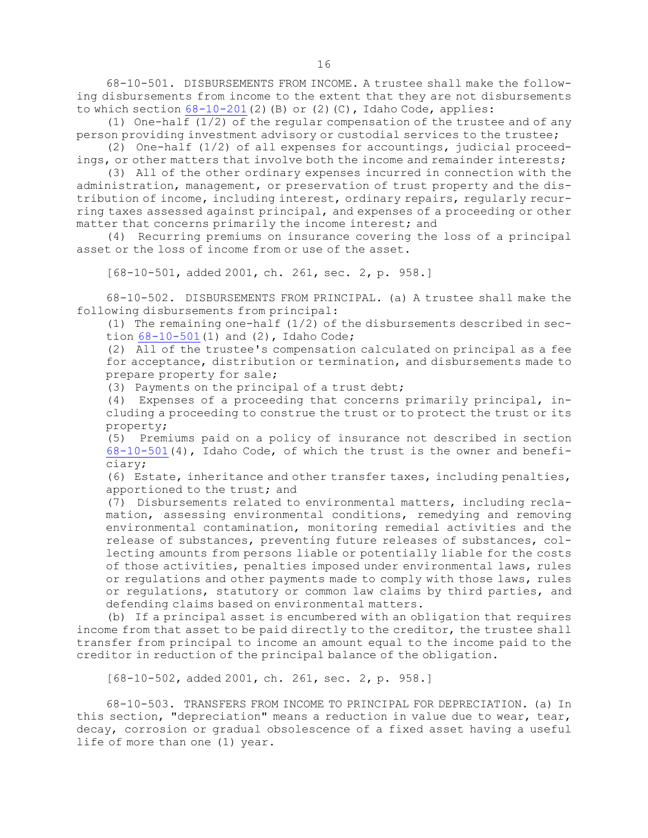68-10-501. DISBURSEMENTS FROM INCOME. A trustee shall make the following disbursements from income to the extent that they are not disbursements to which section  $68-10-201(2)$  $68-10-201(2)$  (B) or (2)(C), Idaho Code, applies:

(1) One-half  $(1/2)$  of the regular compensation of the trustee and of any person providing investment advisory or custodial services to the trustee;

(2) One-half  $(1/2)$  of all expenses for accountings, judicial proceedings, or other matters that involve both the income and remainder interests;

(3) All of the other ordinary expenses incurred in connection with the administration, management, or preservation of trust property and the distribution of income, including interest, ordinary repairs, regularly recurring taxes assessed against principal, and expenses of <sup>a</sup> proceeding or other matter that concerns primarily the income interest; and

(4) Recurring premiums on insurance covering the loss of <sup>a</sup> principal asset or the loss of income from or use of the asset.

[68-10-501, added 2001, ch. 261, sec. 2, p. 958.]

68-10-502. DISBURSEMENTS FROM PRINCIPAL. (a) A trustee shall make the following disbursements from principal:

(1) The remaining one-half  $(1/2)$  of the disbursements described in section  $68-10-501(1)$  $68-10-501(1)$  and  $(2)$ , Idaho Code;

(2) All of the trustee's compensation calculated on principal as <sup>a</sup> fee for acceptance, distribution or termination, and disbursements made to prepare property for sale;

(3) Payments on the principal of <sup>a</sup> trust debt;

(4) Expenses of <sup>a</sup> proceeding that concerns primarily principal, including <sup>a</sup> proceeding to construe the trust or to protect the trust or its property;

(5) Premiums paid on <sup>a</sup> policy of insurance not described in section  $68-10-501(4)$  $68-10-501(4)$ , Idaho Code, of which the trust is the owner and beneficiary;

(6) Estate, inheritance and other transfer taxes, including penalties, apportioned to the trust; and

(7) Disbursements related to environmental matters, including reclamation, assessing environmental conditions, remedying and removing environmental contamination, monitoring remedial activities and the release of substances, preventing future releases of substances, collecting amounts from persons liable or potentially liable for the costs of those activities, penalties imposed under environmental laws, rules or regulations and other payments made to comply with those laws, rules or regulations, statutory or common law claims by third parties, and defending claims based on environmental matters.

(b) If <sup>a</sup> principal asset is encumbered with an obligation that requires income from that asset to be paid directly to the creditor, the trustee shall transfer from principal to income an amount equal to the income paid to the creditor in reduction of the principal balance of the obligation.

[68-10-502, added 2001, ch. 261, sec. 2, p. 958.]

68-10-503. TRANSFERS FROM INCOME TO PRINCIPAL FOR DEPRECIATION. (a) In this section, "depreciation" means <sup>a</sup> reduction in value due to wear, tear, decay, corrosion or gradual obsolescence of <sup>a</sup> fixed asset having <sup>a</sup> useful life of more than one (1) year.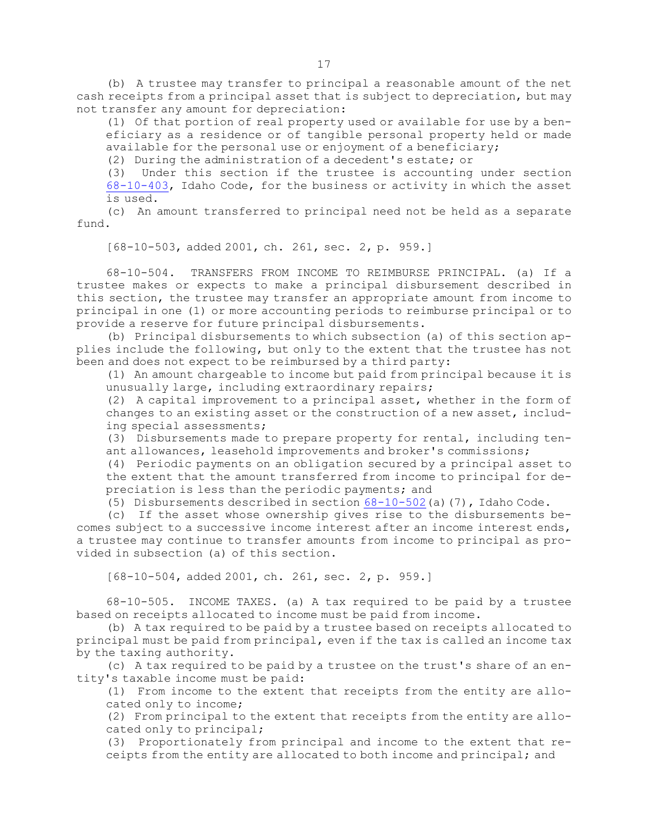(b) <sup>A</sup> trustee may transfer to principal <sup>a</sup> reasonable amount of the net cash receipts from <sup>a</sup> principal asset that is subject to depreciation, but may not transfer any amount for depreciation:

(1) Of that portion of real property used or available for use by <sup>a</sup> beneficiary as <sup>a</sup> residence or of tangible personal property held or made available for the personal use or enjoyment of <sup>a</sup> beneficiary;

(2) During the administration of <sup>a</sup> decedent's estate; or

(3) Under this section if the trustee is accounting under section [68-10-403](https://legislature.idaho.gov/statutesrules/idstat/Title68/T68CH10/SECT68-10-403), Idaho Code, for the business or activity in which the asset is used.

(c) An amount transferred to principal need not be held as <sup>a</sup> separate fund.

[68-10-503, added 2001, ch. 261, sec. 2, p. 959.]

68-10-504. TRANSFERS FROM INCOME TO REIMBURSE PRINCIPAL. (a) If <sup>a</sup> trustee makes or expects to make <sup>a</sup> principal disbursement described in this section, the trustee may transfer an appropriate amount from income to principal in one (1) or more accounting periods to reimburse principal or to provide <sup>a</sup> reserve for future principal disbursements.

(b) Principal disbursements to which subsection (a) of this section applies include the following, but only to the extent that the trustee has not been and does not expect to be reimbursed by <sup>a</sup> third party:

(1) An amount chargeable to income but paid from principal because it is unusually large, including extraordinary repairs;

(2) <sup>A</sup> capital improvement to <sup>a</sup> principal asset, whether in the form of changes to an existing asset or the construction of <sup>a</sup> new asset, including special assessments;

(3) Disbursements made to prepare property for rental, including tenant allowances, leasehold improvements and broker's commissions;

(4) Periodic payments on an obligation secured by <sup>a</sup> principal asset to the extent that the amount transferred from income to principal for depreciation is less than the periodic payments; and

(5) Disbursements described in section [68-10-502](https://legislature.idaho.gov/statutesrules/idstat/Title68/T68CH10/SECT68-10-502)(a)(7), Idaho Code.

(c) If the asset whose ownership gives rise to the disbursements becomes subject to <sup>a</sup> successive income interest after an income interest ends, <sup>a</sup> trustee may continue to transfer amounts from income to principal as provided in subsection (a) of this section.

[68-10-504, added 2001, ch. 261, sec. 2, p. 959.]

68-10-505. INCOME TAXES. (a) <sup>A</sup> tax required to be paid by <sup>a</sup> trustee based on receipts allocated to income must be paid from income.

(b) <sup>A</sup> tax required to be paid by <sup>a</sup> trustee based on receipts allocated to principal must be paid from principal, even if the tax is called an income tax by the taxing authority.

(c) <sup>A</sup> tax required to be paid by <sup>a</sup> trustee on the trust's share of an entity's taxable income must be paid:

(1) From income to the extent that receipts from the entity are allocated only to income;

(2) From principal to the extent that receipts from the entity are allocated only to principal;

(3) Proportionately from principal and income to the extent that receipts from the entity are allocated to both income and principal; and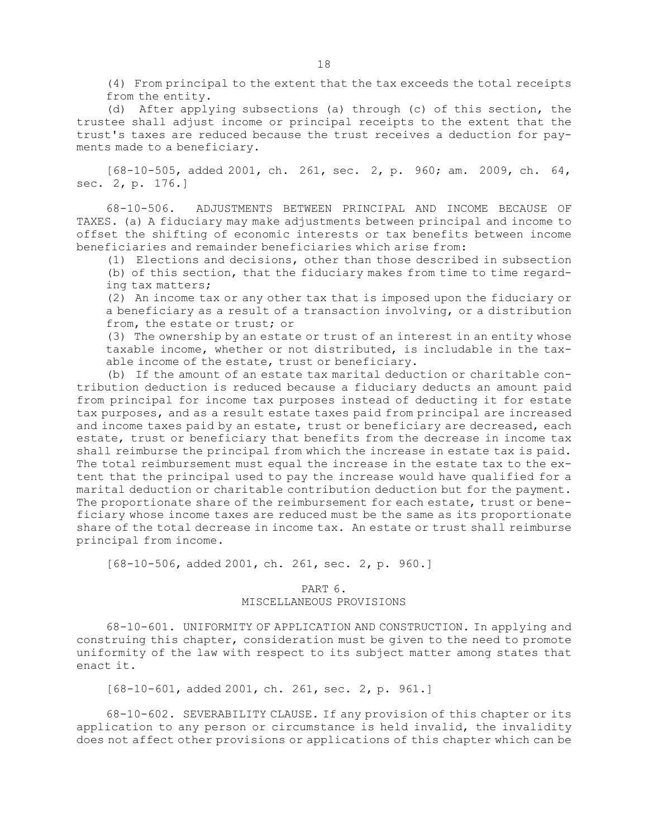(4) From principal to the extent that the tax exceeds the total receipts from the entity.

(d) After applying subsections (a) through (c) of this section, the trustee shall adjust income or principal receipts to the extent that the trust's taxes are reduced because the trust receives <sup>a</sup> deduction for payments made to <sup>a</sup> beneficiary.

[68-10-505, added 2001, ch. 261, sec. 2, p. 960; am. 2009, ch. 64, sec. 2, p. 176.]

68-10-506. ADJUSTMENTS BETWEEN PRINCIPAL AND INCOME BECAUSE OF TAXES. (a) <sup>A</sup> fiduciary may make adjustments between principal and income to offset the shifting of economic interests or tax benefits between income beneficiaries and remainder beneficiaries which arise from:

(1) Elections and decisions, other than those described in subsection (b) of this section, that the fiduciary makes from time to time regard-

ing tax matters;

(2) An income tax or any other tax that is imposed upon the fiduciary or <sup>a</sup> beneficiary as <sup>a</sup> result of <sup>a</sup> transaction involving, or <sup>a</sup> distribution from, the estate or trust; or

(3) The ownership by an estate or trust of an interest in an entity whose taxable income, whether or not distributed, is includable in the taxable income of the estate, trust or beneficiary.

(b) If the amount of an estate tax marital deduction or charitable contribution deduction is reduced because <sup>a</sup> fiduciary deducts an amount paid from principal for income tax purposes instead of deducting it for estate tax purposes, and as <sup>a</sup> result estate taxes paid from principal are increased and income taxes paid by an estate, trust or beneficiary are decreased, each estate, trust or beneficiary that benefits from the decrease in income tax shall reimburse the principal from which the increase in estate tax is paid. The total reimbursement must equal the increase in the estate tax to the extent that the principal used to pay the increase would have qualified for <sup>a</sup> marital deduction or charitable contribution deduction but for the payment. The proportionate share of the reimbursement for each estate, trust or beneficiary whose income taxes are reduced must be the same as its proportionate share of the total decrease in income tax. An estate or trust shall reimburse principal from income.

[68-10-506, added 2001, ch. 261, sec. 2, p. 960.]

### PART 6.

### MISCELLANEOUS PROVISIONS

68-10-601. UNIFORMITY OF APPLICATION AND CONSTRUCTION. In applying and construing this chapter, consideration must be given to the need to promote uniformity of the law with respect to its subject matter among states that enact it.

[68-10-601, added 2001, ch. 261, sec. 2, p. 961.]

68-10-602. SEVERABILITY CLAUSE. If any provision of this chapter or its application to any person or circumstance is held invalid, the invalidity does not affect other provisions or applications of this chapter which can be